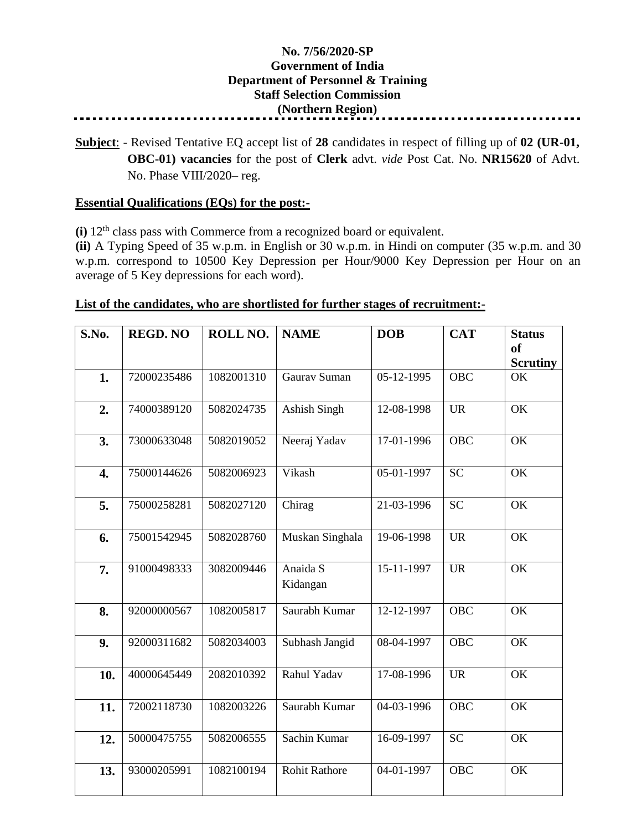## **No. 7/56/2020-SP Government of India Department of Personnel & Training Staff Selection Commission (Northern Region)**

**Subject**: - Revised Tentative EQ accept list of **28** candidates in respect of filling up of **02 (UR-01, OBC-01) vacancies** for the post of **Clerk** advt. *vide* Post Cat. No. **NR15620** of Advt. No. Phase VIII/2020– reg.

## **Essential Qualifications (EQs) for the post:-**

**(i)** 12<sup>th</sup> class pass with Commerce from a recognized board or equivalent.

**(ii)** A Typing Speed of 35 w.p.m. in English or 30 w.p.m. in Hindi on computer (35 w.p.m. and 30 w.p.m. correspond to 10500 Key Depression per Hour/9000 Key Depression per Hour on an average of 5 Key depressions for each word).

## **List of the candidates, who are shortlisted for further stages of recruitment:-**

| S.No.            | <b>REGD. NO</b> | ROLL NO.   | <b>NAME</b>          | <b>DOB</b> | <b>CAT</b> | <b>Status</b><br><b>of</b><br><b>Scrutiny</b> |
|------------------|-----------------|------------|----------------------|------------|------------|-----------------------------------------------|
| 1.               | 72000235486     | 1082001310 | Gaurav Suman         | 05-12-1995 | <b>OBC</b> | OK                                            |
| 2.               | 74000389120     | 5082024735 | Ashish Singh         | 12-08-1998 | <b>UR</b>  | $\overline{\text{OK}}$                        |
| 3.               | 73000633048     | 5082019052 | Neeraj Yadav         | 17-01-1996 | <b>OBC</b> | $\overline{\text{OK}}$                        |
| $\overline{4}$ . | 75000144626     | 5082006923 | Vikash               | 05-01-1997 | <b>SC</b>  | OK                                            |
| 5.               | 75000258281     | 5082027120 | Chirag               | 21-03-1996 | <b>SC</b>  | OK                                            |
| 6.               | 75001542945     | 5082028760 | Muskan Singhala      | 19-06-1998 | <b>UR</b>  | <b>OK</b>                                     |
| 7.               | 91000498333     | 3082009446 | Anaida S<br>Kidangan | 15-11-1997 | <b>UR</b>  | OK                                            |
| 8.               | 92000000567     | 1082005817 | Saurabh Kumar        | 12-12-1997 | <b>OBC</b> | OK                                            |
| 9.               | 92000311682     | 5082034003 | Subhash Jangid       | 08-04-1997 | <b>OBC</b> | OK                                            |
| 10.              | 40000645449     | 2082010392 | Rahul Yadav          | 17-08-1996 | <b>UR</b>  | $\overline{\text{OK}}$                        |
| 11.              | 72002118730     | 1082003226 | Saurabh Kumar        | 04-03-1996 | OBC        | OK                                            |
| 12.              | 50000475755     | 5082006555 | Sachin Kumar         | 16-09-1997 | <b>SC</b>  | OK                                            |
| 13.              | 93000205991     | 1082100194 | <b>Rohit Rathore</b> | 04-01-1997 | <b>OBC</b> | OK                                            |